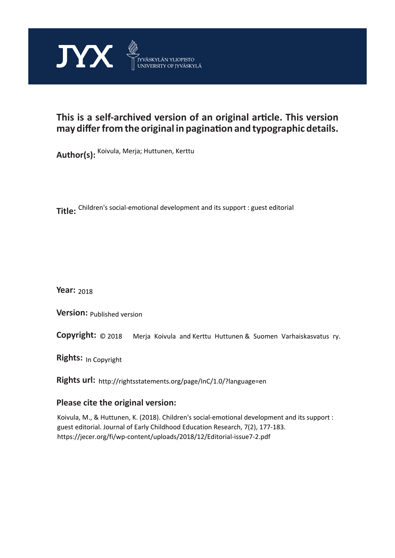

## **This is a self-archived version of an original article. This version may differ from the original in pagination and typographic details.**

**Author(s):**  Koivula, Merja; Huttunen, Kerttu

**Title:**  Children's social-emotional development and its support : guest editorial

**Year:**  2018

**Version:**

**Copyright:** Merja Koivula and Kerttu Huttunen & Suomen Varhaiskasvatus ry.

**Rights:** In Copyright

**Rights url:**  http://rightsstatements.org/page/InC/1.0/?language=en

#### **Please cite the original version:**

Koivula, M., & Huttunen, K. (2018). Children's social-emotional development and its support : guest editorial. Journal of Early Childhood Education Research, 7(2), 177-183. https://jecer.org/fi/wp-content/uploads/2018/12/Editorial-issue7-2.pdf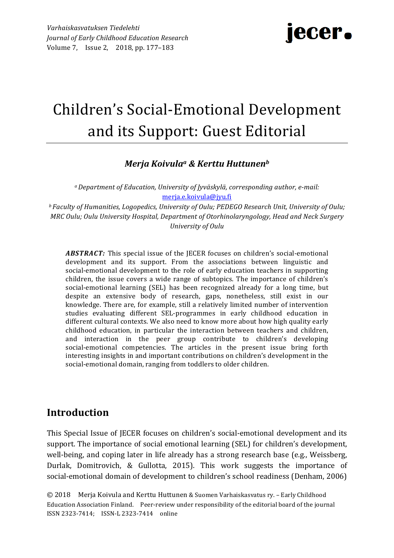# jecer.

# Children's Social-Emotional Development and its Support: Guest Editorial

### *Merja Koivulaa & Kerttu Huttunenb*

*a Department of Education, University of Jyväskylä, corresponding author, e-mail:* merja.e.koivula@jyu.fi

*b* Faculty of Humanities, Logopedics, University of Oulu; PEDEGO Research Unit, University of Oulu; *MRC Oulu; Oulu University Hospital, Department of Otorhinolaryngology, Head and Neck Surgery University of Oulu*

**ABSTRACT:** This special issue of the JECER focuses on children's social-emotional development and its support. From the associations between linguistic and social-emotional development to the role of early education teachers in supporting children, the issue covers a wide range of subtopics. The importance of children's social-emotional learning (SEL) has been recognized already for a long time, but despite an extensive body of research, gaps, nonetheless, still exist in our knowledge. There are, for example, still a relatively limited number of intervention studies evaluating different SEL-programmes in early childhood education in different cultural contexts. We also need to know more about how high quality early childhood education, in particular the interaction between teachers and children, and interaction in the peer group contribute to children's developing social-emotional competencies. The articles in the present issue bring forth interesting insights in and important contributions on children's development in the social-emotional domain, ranging from toddlers to older children.

### **Introduction**

This Special Issue of IECER focuses on children's social-emotional development and its support. The importance of social emotional learning (SEL) for children's development, well-being, and coping later in life already has a strong research base (e.g., Weissberg, Durlak, Domitrovich, & Gullotta, 2015). This work suggests the importance of social-emotional domain of development to children's school readiness (Denham, 2006)

© 2018 Merja Koivula and Kerttu Huttunen & Suomen Varhaiskasvatus ry. - Early Childhood Education Association Finland. Peer-review under responsibility of the editorial board of the journal ISSN 2323-7414; ISSN-L 2323-7414 online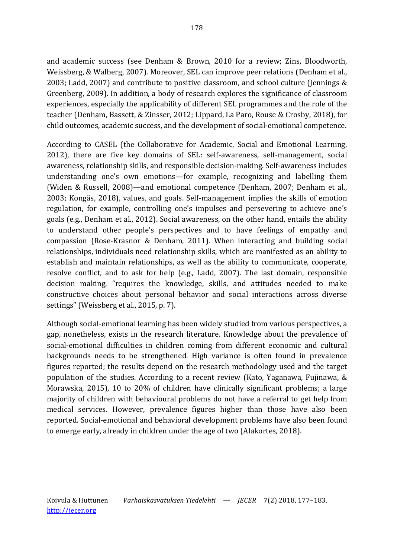and academic success (see Denham & Brown, 2010 for a review; Zins, Bloodworth, Weissberg, & Walberg, 2007). Moreover, SEL can improve peer relations (Denham et al., 2003; Ladd, 2007) and contribute to positive classroom, and school culture (Jennings  $&$ Greenberg, 2009). In addition, a body of research explores the significance of classroom experiences, especially the applicability of different SEL programmes and the role of the teacher (Denham, Bassett, & Zinsser, 2012; Lippard, La Paro, Rouse & Crosby, 2018), for child outcomes, academic success, and the development of social-emotional competence.

According to CASEL (the Collaborative for Academic, Social and Emotional Learning, 2012), there are five key domains of SEL: self-awareness, self-management, social awareness, relationship skills, and responsible decision-making. Self-awareness includes understanding one's own emotions—for example, recognizing and labelling them (Widen & Russell, 2008)—and emotional competence (Denham, 2007; Denham et al., 2003; Kongäs, 2018), values, and goals. Self-management implies the skills of emotion regulation, for example, controlling one's impulses and persevering to achieve one's goals (e.g., Denham et al., 2012). Social awareness, on the other hand, entails the ability to understand other people's perspectives and to have feelings of empathy and compassion (Rose-Krasnor & Denham, 2011). When interacting and building social relationships, individuals need relationship skills, which are manifested as an ability to establish and maintain relationships, as well as the ability to communicate, cooperate, resolve conflict, and to ask for help (e.g., Ladd, 2007). The last domain, responsible decision making, "requires the knowledge, skills, and attitudes needed to make constructive choices about personal behavior and social interactions across diverse settings" (Weissberg et al., 2015, p. 7).

Although social-emotional learning has been widely studied from various perspectives, a gap, nonetheless, exists in the research literature. Knowledge about the prevalence of social-emotional difficulties in children coming from different economic and cultural backgrounds needs to be strengthened. High variance is often found in prevalence figures reported; the results depend on the research methodology used and the target population of the studies. According to a recent review (Kato, Yaganawa, Fujinawa, & Morawska, 2015), 10 to 20% of children have clinically significant problems; a large majority of children with behavioural problems do not have a referral to get help from medical services. However, prevalence figures higher than those have also been reported. Social-emotional and behavioral development problems have also been found to emerge early, already in children under the age of two (Alakortes, 2018).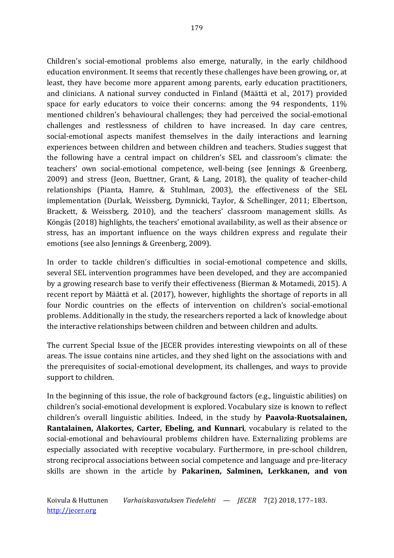179

Children's social-emotional problems also emerge, naturally, in the early childhood education environment. It seems that recently these challenges have been growing, or, at least, they have become more apparent among parents, early education practitioners, and clinicians. A national survey conducted in Finland (Määttä et al., 2017) provided space for early educators to voice their concerns: among the  $94$  respondents,  $11\%$ mentioned children's behavioural challenges; they had perceived the social-emotional challenges and restlessness of children to have increased. In day care centres, social-emotional aspects manifest themselves in the daily interactions and learning experiences between children and between children and teachers. Studies suggest that the following have a central impact on children's SEL and classroom's climate: the teachers' own social-emotional competence, well-being (see Jennings & Greenberg, 2009) and stress (Jeon, Buettner, Grant, & Lang, 2018), the quality of teacher-child relationships (Pianta, Hamre, & Stuhlman, 2003), the effectiveness of the SEL implementation (Durlak, Weissberg, Dymnicki, Taylor, & Schellinger, 2011; Elbertson, Brackett, & Weissberg, 2010), and the teachers' classroom management skills. As Köngäs (2018) highlights, the teachers' emotional availability, as well as their absence or stress, has an important influence on the ways children express and regulate their emotions (see also Jennings & Greenberg, 2009).

In order to tackle children's difficulties in social-emotional competence and skills, several SEL intervention programmes have been developed, and they are accompanied by a growing research base to verify their effectiveness (Bierman & Motamedi, 2015). A recent report by Määttä et al. (2017), however, highlights the shortage of reports in all four Nordic countries on the effects of intervention on children's social-emotional problems. Additionally in the study, the researchers reported a lack of knowledge about the interactive relationships between children and between children and adults.

The current Special Issue of the JECER provides interesting viewpoints on all of these areas. The issue contains nine articles, and they shed light on the associations with and the prerequisites of social-emotional development, its challenges, and ways to provide support to children.

In the beginning of this issue, the role of background factors  $(e.g.,$  linguistic abilities) on children's social-emotional development is explored. Vocabulary size is known to reflect children's overall linguistic abilities. Indeed, in the study by **Paavola-Ruotsalainen**, **Rantalainen, Alakortes, Carter, Ebeling, and Kunnari**, vocabulary is related to the social-emotional and behavioural problems children have. Externalizing problems are especially associated with receptive vocabulary. Furthermore, in pre-school children, strong reciprocal associations between social competence and language and pre-literacy skills are shown in the article by Pakarinen, Salminen, Lerkkanen, and von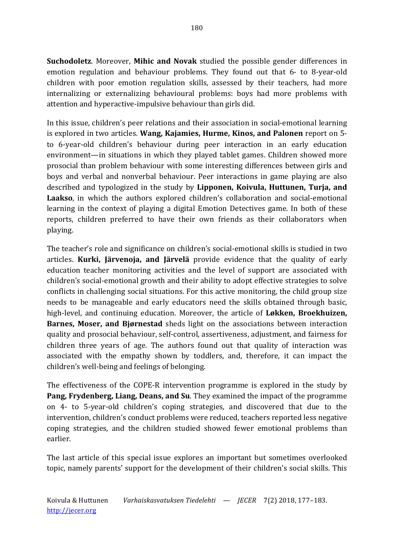**Suchodoletz**. Moreover, Mihic and Novak studied the possible gender differences in emotion regulation and behaviour problems. They found out that  $6-$  to 8-year-old children with poor emotion regulation skills, assessed by their teachers, had more internalizing or externalizing behavioural problems: boys had more problems with attention and hyperactive-impulsive behaviour than girls did.

In this issue, children's peer relations and their association in social-emotional learning is explored in two articles. Wang, Kajamies, Hurme, Kinos, and Palonen report on 5to 6-year-old children's behaviour during peer interaction in an early education environment—in situations in which they played tablet games. Children showed more prosocial than problem behaviour with some interesting differences between girls and boys and verbal and nonverbal behaviour. Peer interactions in game playing are also described and typologized in the study by **Lipponen, Koivula, Huttunen, Turja, and Laakso**, in which the authors explored children's collaboration and social-emotional learning in the context of playing a digital Emotion Detectives game. In both of these reports, children preferred to have their own friends as their collaborators when playing. 

The teacher's role and significance on children's social-emotional skills is studied in two articles. **Kurki, Järvenoja, and Järvelä** provide evidence that the quality of early education teacher monitoring activities and the level of support are associated with children's social-emotional growth and their ability to adopt effective strategies to solve conflicts in challenging social situations. For this active monitoring, the child group size needs to be manageable and early educators need the skills obtained through basic, high-level, and continuing education. Moreover, the article of Løkken, Broekhuizen, **Barnes, Moser, and Bigrnestad** sheds light on the associations between interaction quality and prosocial behaviour, self-control, assertiveness, adjustment, and fairness for children three years of age. The authors found out that quality of interaction was associated with the empathy shown by toddlers, and, therefore, it can impact the children's well-being and feelings of belonging.

The effectiveness of the COPE-R intervention programme is explored in the study by Pang, Frydenberg, Liang, Deans, and Su. They examined the impact of the programme on 4- to 5-year-old children's coping strategies, and discovered that due to the intervention, children's conduct problems were reduced, teachers reported less negative coping strategies, and the children studied showed fewer emotional problems than earlier. 

The last article of this special issue explores an important but sometimes overlooked topic, namely parents' support for the development of their children's social skills. This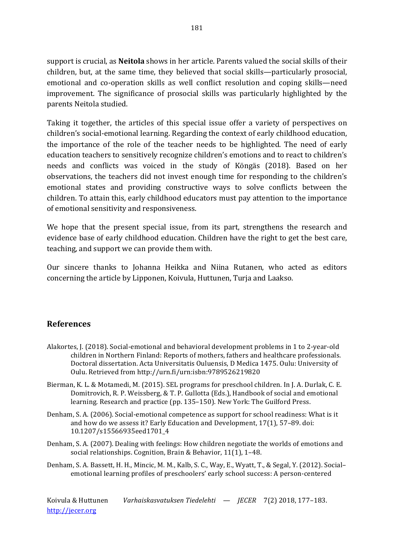support is crucial, as **Neitola** shows in her article. Parents valued the social skills of their children, but, at the same time, they believed that social skills—particularly prosocial, emotional and co-operation skills as well conflict resolution and coping skills—need improvement. The significance of prosocial skills was particularly highlighted by the parents Neitola studied.

Taking it together, the articles of this special issue offer a variety of perspectives on children's social-emotional learning. Regarding the context of early childhood education, the importance of the role of the teacher needs to be highlighted. The need of early education teachers to sensitively recognize children's emotions and to react to children's needs and conflicts was voiced in the study of Köngäs (2018). Based on her observations, the teachers did not invest enough time for responding to the children's emotional states and providing constructive ways to solve conflicts between the children. To attain this, early childhood educators must pay attention to the importance of emotional sensitivity and responsiveness.

We hope that the present special issue, from its part, strengthens the research and evidence base of early childhood education. Children have the right to get the best care, teaching, and support we can provide them with.

Our sincere thanks to Johanna Heikka and Niina Rutanen, who acted as editors concerning the article by Lipponen, Koivula, Huttunen, Turja and Laakso.

### **References**

- Alakortes, J. (2018). Social-emotional and behavioral development problems in 1 to 2-year-old children in Northern Finland: Reports of mothers, fathers and healthcare professionals. Doctoral dissertation. Acta Universitatis Ouluensis, D Medica 1475. Oulu: University of Oulu. Retrieved from http://urn.fi/urn:isbn:9789526219820
- Bierman, K. L. & Motamedi, M. (2015). SEL programs for preschool children. In J. A. Durlak, C. E. Domitrovich, R. P. Weissberg, & T. P. Gullotta (Eds.), Handbook of social and emotional learning. Research and practice (pp. 135–150). New York: The Guilford Press.
- Denham, S. A. (2006). Social-emotional competence as support for school readiness: What is it and how do we assess it? Early Education and Development,  $17(1)$ , 57-89. doi: 10.1207/s15566935eed1701\_4
- Denham, S. A. (2007). Dealing with feelings: How children negotiate the worlds of emotions and social relationships. Cognition, Brain & Behavior, 11(1), 1-48.
- Denham, S. A. Bassett, H. H., Mincic, M. M., Kalb, S. C., Way, E., Wyatt, T., & Segal, Y. (2012). Socialemotional learning profiles of preschoolers' early school success: A person-centered

Koivula & Huttunen *Varhaiskasvatuksen Tiedelehti — JECER* 7(2) 2018, 177–183. http://jecer.org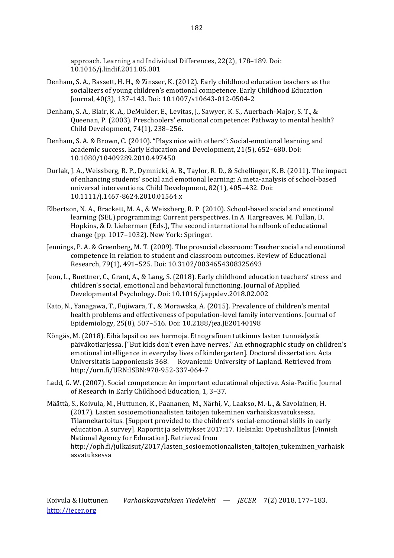approach. Learning and Individual Differences, 22(2), 178-189. Doi: 10.1016/j.lindif.2011.05.001

- Denham, S. A., Bassett, H. H., & Zinsser, K. (2012). Early childhood education teachers as the socializers of young children's emotional competence. Early Childhood Education Journal, 40(3), 137–143. Doi: 10.1007/s10643-012-0504-2
- Denham, S. A., Blair, K. A., DeMulder, E., Levitas, J., Sawyer, K. S., Auerbach-Major, S. T., & Oueenan, P. (2003). Preschoolers' emotional competence: Pathway to mental health? Child Development, 74(1), 238–256.
- Denham, S. A. & Brown, C. (2010). "Plays nice with others": Social-emotional learning and academic success. Early Education and Development, 21(5), 652-680. Doi: 10.1080/10409289.2010.497450
- Durlak, J. A., Weissberg, R. P., Dymnicki, A. B., Taylor, R. D., & Schellinger, K. B. (2011). The impact of enhancing students' social and emotional learning: A meta-analysis of school-based universal interventions. Child Development, 82(1), 405-432. Doi: 10.1111/j.1467-8624.2010.01564.x
- Elbertson, N. A., Brackett, M. A., & Weissberg, R. P. (2010). School-based social and emotional learning (SEL) programming: Current perspectives. In A. Hargreaves, M. Fullan, D. Hopkins, & D. Lieberman (Eds.), The second international handbook of educational change (pp. 1017–1032). New York: Springer.
- Jennings, P. A. & Greenberg, M. T. (2009). The prosocial classroom: Teacher social and emotional competence in relation to student and classroom outcomes. Review of Educational Research, 79(1), 491-525. Doi: 10.3102/0034654308325693
- Jeon, L., Buettner, C., Grant, A., & Lang, S. (2018). Early childhood education teachers' stress and children's social, emotional and behavioral functioning. Journal of Applied Developmental Psychology. Doi: 10.1016/j.appdev.2018.02.002
- Kato, N., Yanagawa, T., Fujiwara, T., & Morawska, A. (2015). Prevalence of children's mental health problems and effectiveness of population-level family interventions. Journal of Epidemiology, 25(8), 507-516. Doi: 10.2188/jea.JE20140198
- Köngäs, M. (2018). Eihä lapsil oo ees hermoja. Etnografinen tutkimus lasten tunneälystä päiväkotiarjessa. ["But kids don't even have nerves." An ethnographic study on children's emotional intelligence in everyday lives of kindergarten]. Doctoral dissertation. Acta Universitatis Lapponiensis 368. Rovaniemi: University of Lapland. Retrieved from http://urn.fi/URN:ISBN:978-952-337-064-7
- Ladd, G. W. (2007). Social competence: An important educational objective. Asia-Pacific Journal of Research in Early Childhood Education, 1, 3-37.
- Määttä, S., Koivula, M., Huttunen, K., Paananen, M., Närhi, V., Laakso, M.-L., & Savolainen, H. (2017). Lasten sosioemotionaalisten taitojen tukeminen varhaiskasvatuksessa. Tilannekartoitus. [Support provided to the children's social-emotional skills in early education. A survey]. Raportit ja selvitykset 2017:17. Helsinki: Opetushallitus [Finnish National Agency for Education]. Retrieved from http://oph.fi/julkaisut/2017/lasten\_sosioemotionaalisten\_taitojen\_tukeminen\_varhaisk asvatuksessa